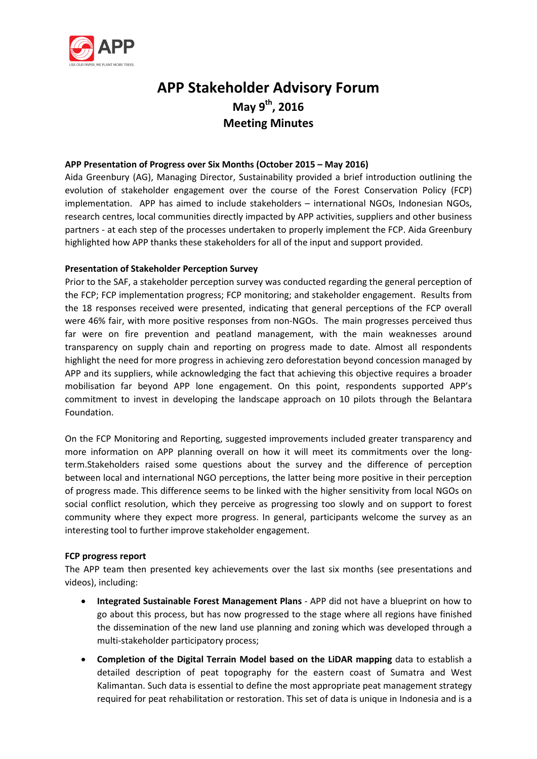

# **APP Stakeholder Advisory Forum May 9th, 2016 Meeting Minutes**

# **APP Presentation of Progress over Six Months (October 2015 – May 2016)**

Aida Greenbury (AG), Managing Director, Sustainability provided a brief introduction outlining the evolution of stakeholder engagement over the course of the Forest Conservation Policy (FCP) implementation. APP has aimed to include stakeholders – international NGOs, Indonesian NGOs, research centres, local communities directly impacted by APP activities, suppliers and other business partners - at each step of the processes undertaken to properly implement the FCP. Aida Greenbury highlighted how APP thanks these stakeholders for all of the input and support provided.

# **Presentation of Stakeholder Perception Survey**

Prior to the SAF, a stakeholder perception survey was conducted regarding the general perception of the FCP; FCP implementation progress; FCP monitoring; and stakeholder engagement. Results from the 18 responses received were presented, indicating that general perceptions of the FCP overall were 46% fair, with more positive responses from non-NGOs. The main progresses perceived thus far were on fire prevention and peatland management, with the main weaknesses around transparency on supply chain and reporting on progress made to date. Almost all respondents highlight the need for more progress in achieving zero deforestation beyond concession managed by APP and its suppliers, while acknowledging the fact that achieving this objective requires a broader mobilisation far beyond APP lone engagement. On this point, respondents supported APP's commitment to invest in developing the landscape approach on 10 pilots through the Belantara Foundation.

On the FCP Monitoring and Reporting, suggested improvements included greater transparency and more information on APP planning overall on how it will meet its commitments over the longterm.Stakeholders raised some questions about the survey and the difference of perception between local and international NGO perceptions, the latter being more positive in their perception of progress made. This difference seems to be linked with the higher sensitivity from local NGOs on social conflict resolution, which they perceive as progressing too slowly and on support to forest community where they expect more progress. In general, participants welcome the survey as an interesting tool to further improve stakeholder engagement.

## **FCP progress report**

The APP team then presented key achievements over the last six months (see presentations and videos), including:

- **Integrated Sustainable Forest Management Plans** APP did not have a blueprint on how to go about this process, but has now progressed to the stage where all regions have finished the dissemination of the new land use planning and zoning which was developed through a multi-stakeholder participatory process;
- **Completion of the Digital Terrain Model based on the LiDAR mapping** data to establish a detailed description of peat topography for the eastern coast of Sumatra and West Kalimantan. Such data is essential to define the most appropriate peat management strategy required for peat rehabilitation or restoration. This set of data is unique in Indonesia and is a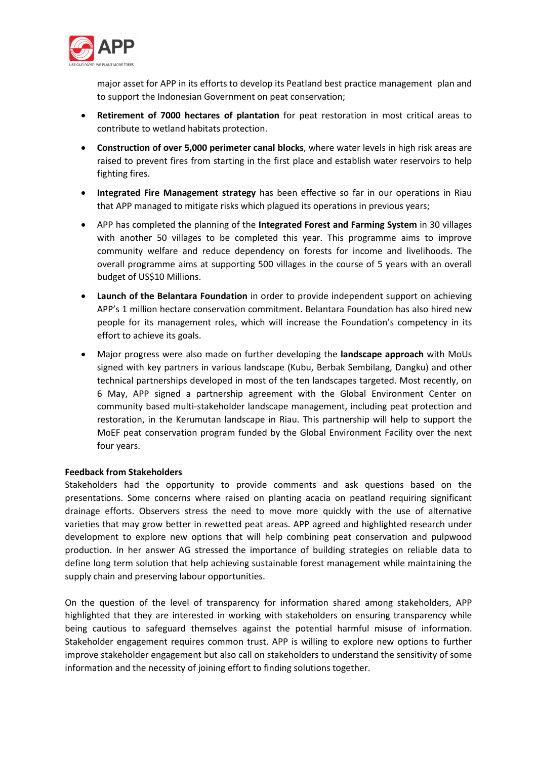

major asset for APP in its efforts to develop its Peatland best practice management plan and to support the Indonesian Government on peat conservation;

- **Retirement of 7000 hectares of plantation** for peat restoration in most critical areas to contribute to wetland habitats protection.
- **Construction of over 5,000 perimeter canal blocks**, where water levels in high risk areas are raised to prevent fires from starting in the first place and establish water reservoirs to help fighting fires.
- **Integrated Fire Management strategy** has been effective so far in our operations in Riau that APP managed to mitigate risks which plagued its operations in previous years;
- APP has completed the planning of the **Integrated Forest and Farming System** in 30 villages with another 50 villages to be completed this year. This programme aims to improve community welfare and reduce dependency on forests for income and livelihoods. The overall programme aims at supporting 500 villages in the course of 5 years with an overall budget of US\$10 Millions.
- **Launch of the Belantara Foundation** in order to provide independent support on achieving APP's 1 million hectare conservation commitment. Belantara Foundation has also hired new people for its management roles, which will increase the Foundation's competency in its effort to achieve its goals.
- Major progress were also made on further developing the **landscape approach** with MoUs signed with key partners in various landscape (Kubu, Berbak Sembilang, Dangku) and other technical partnerships developed in most of the ten landscapes targeted. Most recently, on 6 May, APP signed a partnership agreement with the Global Environment Center on community based multi-stakeholder landscape management, including peat protection and restoration, in the Kerumutan landscape in Riau. This partnership will help to support the MoEF peat conservation program funded by the Global Environment Facility over the next four years.

## **Feedback from Stakeholders**

Stakeholders had the opportunity to provide comments and ask questions based on the presentations. Some concerns where raised on planting acacia on peatland requiring significant drainage efforts. Observers stress the need to move more quickly with the use of alternative varieties that may grow better in rewetted peat areas. APP agreed and highlighted research under development to explore new options that will help combining peat conservation and pulpwood production. In her answer AG stressed the importance of building strategies on reliable data to define long term solution that help achieving sustainable forest management while maintaining the supply chain and preserving labour opportunities.

On the question of the level of transparency for information shared among stakeholders, APP highlighted that they are interested in working with stakeholders on ensuring transparency while being cautious to safeguard themselves against the potential harmful misuse of information. Stakeholder engagement requires common trust. APP is willing to explore new options to further improve stakeholder engagement but also call on stakeholders to understand the sensitivity of some information and the necessity of joining effort to finding solutions together.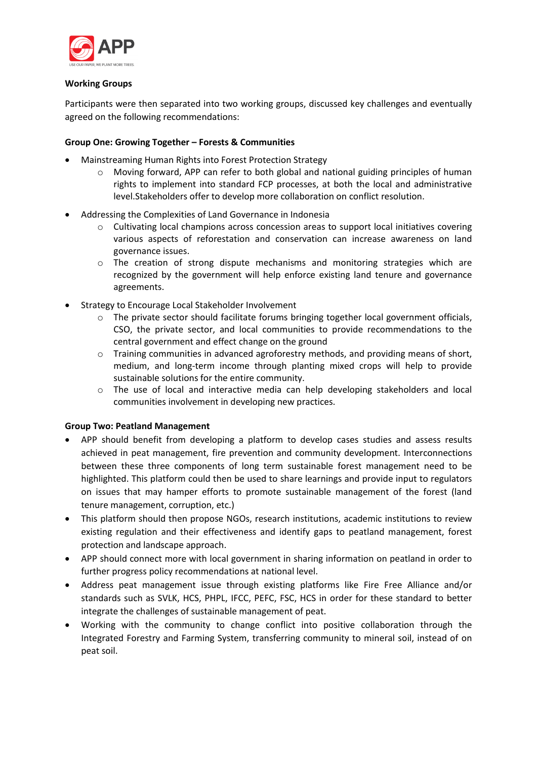

## **Working Groups**

Participants were then separated into two working groups, discussed key challenges and eventually agreed on the following recommendations:

# **Group One: Growing Together – Forests & Communities**

- Mainstreaming Human Rights into Forest Protection Strategy
	- o Moving forward, APP can refer to both global and national guiding principles of human rights to implement into standard FCP processes, at both the local and administrative level.Stakeholders offer to develop more collaboration on conflict resolution.
- Addressing the Complexities of Land Governance in Indonesia
	- o Cultivating local champions across concession areas to support local initiatives covering various aspects of reforestation and conservation can increase awareness on land governance issues.
	- $\circ$  The creation of strong dispute mechanisms and monitoring strategies which are recognized by the government will help enforce existing land tenure and governance agreements.
- Strategy to Encourage Local Stakeholder Involvement
	- o The private sector should facilitate forums bringing together local government officials, CSO, the private sector, and local communities to provide recommendations to the central government and effect change on the ground
	- $\circ$  Training communities in advanced agroforestry methods, and providing means of short, medium, and long-term income through planting mixed crops will help to provide sustainable solutions for the entire community.
	- o The use of local and interactive media can help developing stakeholders and local communities involvement in developing new practices.

## **Group Two: Peatland Management**

- APP should benefit from developing a platform to develop cases studies and assess results achieved in peat management, fire prevention and community development. Interconnections between these three components of long term sustainable forest management need to be highlighted. This platform could then be used to share learnings and provide input to regulators on issues that may hamper efforts to promote sustainable management of the forest (land tenure management, corruption, etc.)
- This platform should then propose NGOs, research institutions, academic institutions to review existing regulation and their effectiveness and identify gaps to peatland management, forest protection and landscape approach.
- APP should connect more with local government in sharing information on peatland in order to further progress policy recommendations at national level.
- Address peat management issue through existing platforms like Fire Free Alliance and/or standards such as SVLK, HCS, PHPL, IFCC, PEFC, FSC, HCS in order for these standard to better integrate the challenges of sustainable management of peat.
- Working with the community to change conflict into positive collaboration through the Integrated Forestry and Farming System, transferring community to mineral soil, instead of on peat soil.